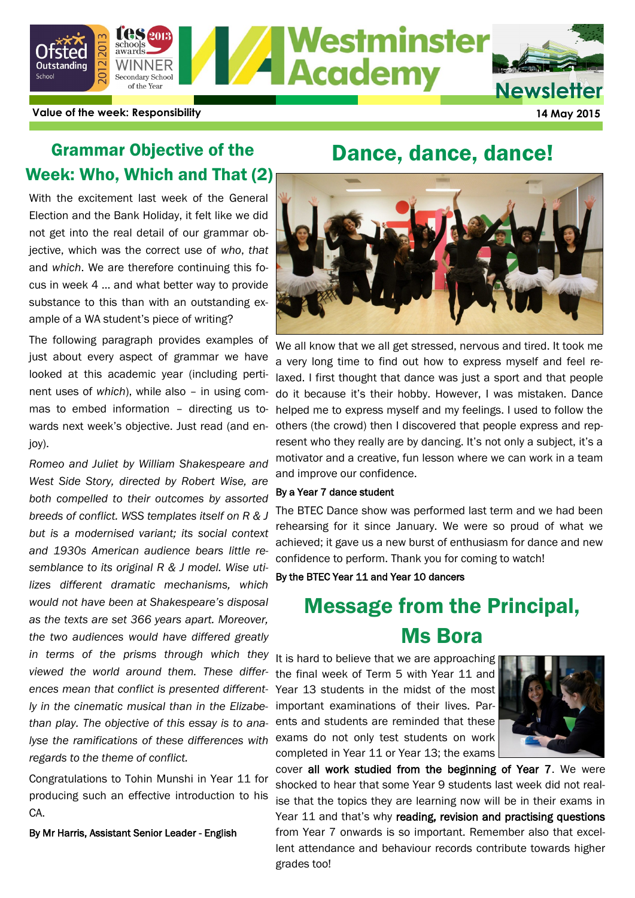

**Value of the week: Responsibility 14 May 2015**

## Grammar Objective of the Week: Who, Which and That (2)

With the excitement last week of the General Election and the Bank Holiday, it felt like we did not get into the real detail of our grammar objective, which was the correct use of *who*, *that* and *which*. We are therefore continuing this focus in week 4 … and what better way to provide substance to this than with an outstanding example of a WA student's piece of writing?

The following paragraph provides examples of just about every aspect of grammar we have looked at this academic year (including pertinent uses of *which*), while also – in using commas to embed information – directing us towards next week's objective. Just read (and enjoy).

*Romeo and Juliet by William Shakespeare and West Side Story, directed by Robert Wise, are both compelled to their outcomes by assorted breeds of conflict. WSS templates itself on R & J but is a modernised variant; its social context and 1930s American audience bears little resemblance to its original R & J model. Wise utilizes different dramatic mechanisms, which would not have been at Shakespeare's disposal as the texts are set 366 years apart. Moreover, the two audiences would have differed greatly in terms of the prisms through which they viewed the world around them. These differences mean that conflict is presented differently in the cinematic musical than in the Elizabethan play. The objective of this essay is to analyse the ramifications of these differences with regards to the theme of conflict.*

Congratulations to Tohin Munshi in Year 11 for producing such an effective introduction to his CA.

By Mr Harris, Assistant Senior Leader - English

## Dance, dance, dance!



We all know that we all get stressed, nervous and tired. It took me a very long time to find out how to express myself and feel relaxed. I first thought that dance was just a sport and that people do it because it's their hobby. However, I was mistaken. Dance helped me to express myself and my feelings. I used to follow the others (the crowd) then I discovered that people express and represent who they really are by dancing. It's not only a subject, it's a motivator and a creative, fun lesson where we can work in a team and improve our confidence.

#### By a Year 7 dance student

The BTEC Dance show was performed last term and we had been rehearsing for it since January. We were so proud of what we achieved; it gave us a new burst of enthusiasm for dance and new confidence to perform. Thank you for coming to watch!

By the BTEC Year 11 and Year 10 dancers

# Message from the Principal, Ms Bora

It is hard to believe that we are approaching the final week of Term 5 with Year 11 and Year 13 students in the midst of the most important examinations of their lives. Parents and students are reminded that these exams do not only test students on work completed in Year 11 or Year 13; the exams



cover all work studied from the beginning of Year 7. We were shocked to hear that some Year 9 students last week did not realise that the topics they are learning now will be in their exams in Year 11 and that's why reading, revision and practising questions from Year 7 onwards is so important. Remember also that excellent attendance and behaviour records contribute towards higher grades too!